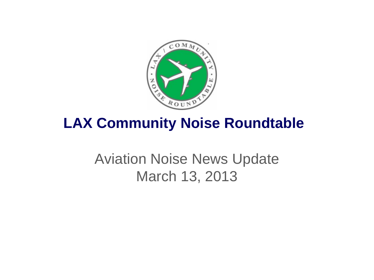

# **LAX Community Noise Roundtable**

# Aviation Noise News Update March 13, 2013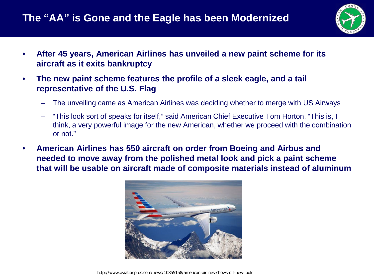

- **After 45 years, American Airlines has unveiled a new paint scheme for its aircraft as it exits bankruptcy**
- **The new paint scheme features the profile of a sleek eagle, and a tail representative of the U.S. Flag**
	- The unveiling came as American Airlines was deciding whether to merge with US Airways
	- "This look sort of speaks for itself," said American Chief Executive Tom Horton, "This is, I think, a very powerful image for the new American, whether we proceed with the combination or not."
- **American Airlines has 550 aircraft on order from Boeing and Airbus and needed to move away from the polished metal look and pick a paint scheme that will be usable on aircraft made of composite materials instead of aluminum**

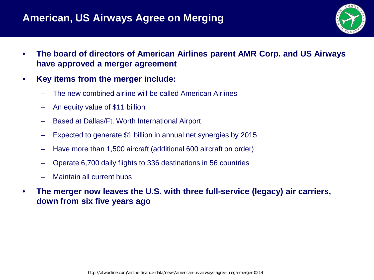#### **American, US Airways Agree on Merging**



- **The board of directors of American Airlines parent AMR Corp. and US Airways have approved a merger agreement**
- **Key items from the merger include:**
	- The new combined airline will be called American Airlines
	- An equity value of \$11 billion
	- Based at Dallas/Ft. Worth International Airport
	- Expected to generate \$1 billion in annual net synergies by 2015
	- Have more than 1,500 aircraft (additional 600 aircraft on order)
	- Operate 6,700 daily flights to 336 destinations in 56 countries
	- Maintain all current hubs
- **The merger now leaves the U.S. with three full-service (legacy) air carriers, down from six five years ago**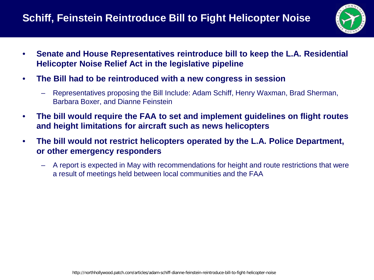## **Schiff, Feinstein Reintroduce Bill to Fight Helicopter Noise**



- **Senate and House Representatives reintroduce bill to keep the L.A. Residential Helicopter Noise Relief Act in the legislative pipeline**
- **The Bill had to be reintroduced with a new congress in session**
	- Representatives proposing the Bill Include: Adam Schiff, Henry Waxman, Brad Sherman, Barbara Boxer, and Dianne Feinstein
- **The bill would require the FAA to set and implement guidelines on flight routes and height limitations for aircraft such as news helicopters**
- **The bill would not restrict helicopters operated by the L.A. Police Department, or other emergency responders**
	- A report is expected in May with recommendations for height and route restrictions that were a result of meetings held between local communities and the FAA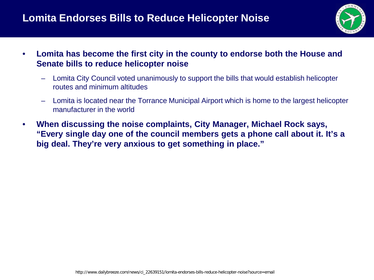### **Lomita Endorses Bills to Reduce Helicopter Noise**



- **Lomita has become the first city in the county to endorse both the House and Senate bills to reduce helicopter noise**
	- Lomita City Council voted unanimously to support the bills that would establish helicopter routes and minimum altitudes
	- Lomita is located near the Torrance Municipal Airport which is home to the largest helicopter manufacturer in the world
- **When discussing the noise complaints, City Manager, Michael Rock says, "Every single day one of the council members gets a phone call about it. It's a big deal. They're very anxious to get something in place."**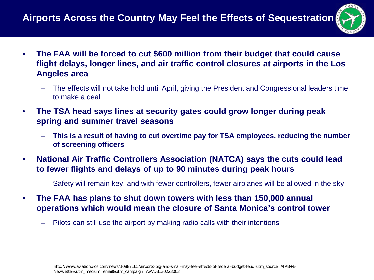## **Airports Across the Country May Feel the Effects of Sequestration**

- 
- **The FAA will be forced to cut \$600 million from their budget that could cause flight delays, longer lines, and air traffic control closures at airports in the Los Angeles area**
	- The effects will not take hold until April, giving the President and Congressional leaders time to make a deal
- **The TSA head says lines at security gates could grow longer during peak spring and summer travel seasons**
	- **This is a result of having to cut overtime pay for TSA employees, reducing the number of screening officers**
- **National Air Traffic Controllers Association (NATCA) says the cuts could lead to fewer flights and delays of up to 90 minutes during peak hours**
	- Safety will remain key, and with fewer controllers, fewer airplanes will be allowed in the sky
- **The FAA has plans to shut down towers with less than 150,000 annual operations which would mean the closure of Santa Monica's control tower**
	- Pilots can still use the airport by making radio calls with their intentions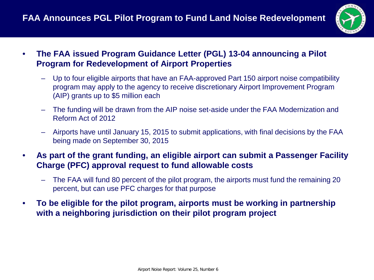

- **The FAA issued Program Guidance Letter (PGL) 13-04 announcing a Pilot Program for Redevelopment of Airport Properties**
	- Up to four eligible airports that have an FAA-approved Part 150 airport noise compatibility program may apply to the agency to receive discretionary Airport Improvement Program (AIP) grants up to \$5 million each
	- The funding will be drawn from the AIP noise set-aside under the FAA Modernization and Reform Act of 2012
	- Airports have until January 15, 2015 to submit applications, with final decisions by the FAA being made on September 30, 2015
- **As part of the grant funding, an eligible airport can submit a Passenger Facility Charge (PFC) approval request to fund allowable costs**
	- The FAA will fund 80 percent of the pilot program, the airports must fund the remaining 20 percent, but can use PFC charges for that purpose
- **To be eligible for the pilot program, airports must be working in partnership with a neighboring jurisdiction on their pilot program project**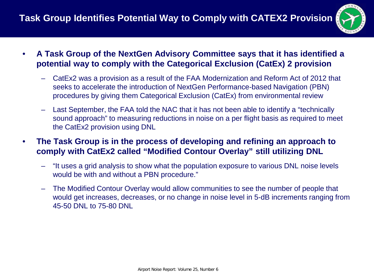

- **A Task Group of the NextGen Advisory Committee says that it has identified a potential way to comply with the Categorical Exclusion (CatEx) 2 provision**
	- CatEx2 was a provision as a result of the FAA Modernization and Reform Act of 2012 that seeks to accelerate the introduction of NextGen Performance-based Navigation (PBN) procedures by giving them Categorical Exclusion (CatEx) from environmental review
	- Last September, the FAA told the NAC that it has not been able to identify a "technically sound approach" to measuring reductions in noise on a per flight basis as required to meet the CatEx2 provision using DNL
- **The Task Group is in the process of developing and refining an approach to comply with CatEx2 called "Modified Contour Overlay" still utilizing DNL**
	- "It uses a grid analysis to show what the population exposure to various DNL noise levels would be with and without a PBN procedure."
	- The Modified Contour Overlay would allow communities to see the number of people that would get increases, decreases, or no change in noise level in 5-dB increments ranging from 45-50 DNL to 75-80 DNL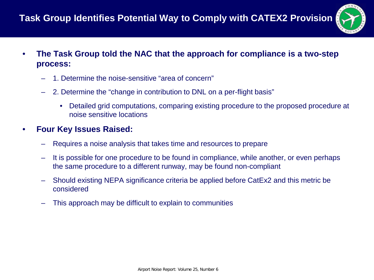

- **The Task Group told the NAC that the approach for compliance is a two-step process:**
	- 1. Determine the noise-sensitive "area of concern"
	- 2. Determine the "change in contribution to DNL on a per-flight basis"
		- Detailed grid computations, comparing existing procedure to the proposed procedure at noise sensitive locations
- **Four Key Issues Raised:**
	- Requires a noise analysis that takes time and resources to prepare
	- It is possible for one procedure to be found in compliance, while another, or even perhaps the same procedure to a different runway, may be found non-compliant
	- Should existing NEPA significance criteria be applied before CatEx2 and this metric be considered
	- This approach may be difficult to explain to communities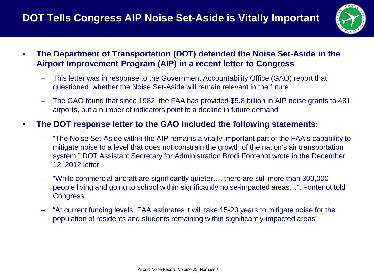

- **The Department of Transportation (DOT) defended the Noise Set-Aside in the Airport Improvement Program (AIP) in a recent letter to Congress**
	- This letter was in response to the Government Accountability Office (GAO) report that questioned whether the Noise Set-Aside will remain relevant in the future
	- The GAO found that since 1982, the FAA has provided \$5.8 billion in AIP noise grants to 481 airports, but a number of indicators point to a decline in future demand

#### • **The DOT response letter to the GAO included the following statements:**

- "The Noise Set-Aside within the AIP remains a vitally important part of the FAA's capability to mitigate noise to a level that does not constrain the growth of the nation's air transportation system," DOT Assistant Secretary for Administration Brodi Fontenot wrote in the December 12, 2012 letter
- "While commercial aircraft are significantly quieter…, there are still more than 300,000 people living and going to school within significantly noise-impacted areas…", Fontenot told **Congress**
- "At current funding levels, FAA estimates it will take 15-20 years to mitigate noise for the population of residents and students remaining within significantly-impacted areas"